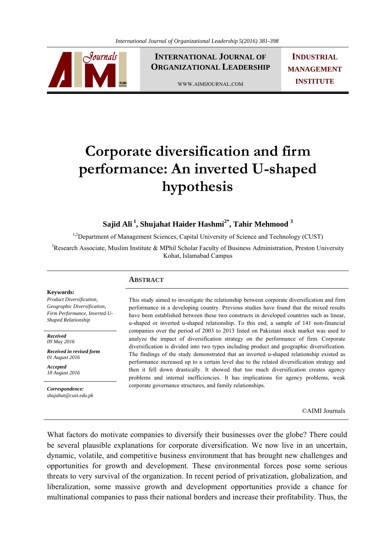

**INTERNATIONAL JOURNAL OF ORGANIZATIONAL LEADERSHIP**

WWW.AIMIJOURNAL.COM

**INDUSTRIAL MANAGEMENT INSTITUTE**

# **Corporate diversification and firm performance: An inverted U-shaped hypothesis**

Sajid Ali<sup>1</sup>, Shujahat Haider Hashmi<sup>2\*</sup>, Tahir Mehmood<sup>3</sup>

<sup>1,2</sup>Department of Management Sciences, Capital University of Science and Technology (CUST)

<sup>3</sup>Research Associate, Muslim Institute & MPhil Scholar Faculty of Business Administration, Preston University Kohat, Islamabad Campus

### **ABSTRACT**

#### This study aimed to investigate the relationship between corporate diversification and firm performance in a developing country. Previous studies have found that the mixed results have been established between these two constructs in developed countries such as linear, u-shaped or inverted u-shaped relationship. To this end, a sample of 141 non-financial companies over the period of 2003 to 2013 listed on Pakistani stock market was used to analyze the impact of diversification strategy on the performance of firm. Corporate diversification is divided into two types including product and geographic diversification. The findings of the study demonstrated that an inverted u-shaped relationship existed as performance increased up to a certain level due to the related diversification strategy and then it fell down drastically. It showed that too much diversification creates agency problems and internal inefficiencies. It has implications for agency problems, weak corporate governance structures, and family relationships.

©AIMI Journals

What factors do motivate companies to diversify their businesses over the globe? There could be several plausible explanations for corporate diversification. We now live in an uncertain, dynamic, volatile, and competitive business environment that has brought new challenges and opportunities for growth and development. These environmental forces pose some serious threats to very survival of the organization. In recent period of privatization, globalization, and liberalization, some massive growth and development opportunities provide a chance for multinational companies to pass their national borders and increase their profitability. Thus, the

#### **Keywords:**

*Product Diversification, Geographic Diversification, Firm Performance, Inverted U-Shaped Relationship* 

*Received 09 May 2016* 

*Received in revised form 01 August 2016* 

*Accepted 18 August 2016*

*Correspondence: shujahat@cust.edu.pk*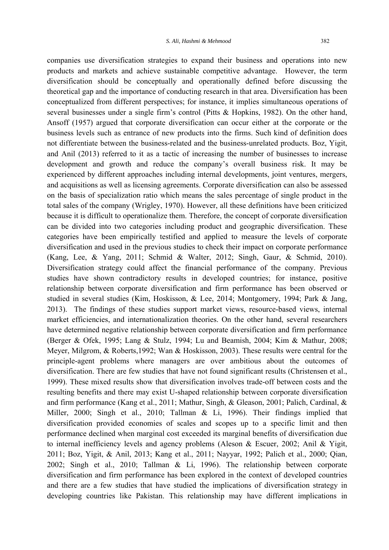companies use diversification strategies to expand their business and operations into new products and markets and achieve sustainable competitive advantage. However, the term diversification should be conceptually and operationally defined before discussing the theoretical gap and the importance of conducting research in that area. Diversification has been conceptualized from different perspectives; for instance, it implies simultaneous operations of several businesses under a single firm's control (Pitts & Hopkins, 1982). On the other hand, Ansoff (1957) argued that corporate diversification can occur either at the corporate or the business levels such as entrance of new products into the firms. Such kind of definition does not differentiate between the business-related and the business-unrelated products. Boz, Yigit, and Anil (2013) referred to it as a tactic of increasing the number of businesses to increase development and growth and reduce the company's overall business risk. It may be experienced by different approaches including internal developments, joint ventures, mergers, and acquisitions as well as licensing agreements. Corporate diversification can also be assessed on the basis of specialization ratio which means the sales percentage of single product in the total sales of the company (Wrigley, 1970). However, all these definitions have been criticized because it is difficult to operationalize them. Therefore, the concept of corporate diversification can be divided into two categories including product and geographic diversification. These categories have been empirically testified and applied to measure the levels of corporate diversification and used in the previous studies to check their impact on corporate performance (Kang, Lee, & Yang, 2011; Schmid & Walter, 2012; Singh, Gaur, & Schmid, 2010). Diversification strategy could affect the financial performance of the company. Previous studies have shown contradictory results in developed countries; for instance, positive relationship between corporate diversification and firm performance has been observed or studied in several studies (Kim, Hoskisson, & Lee, 2014; Montgomery, 1994; Park & Jang, 2013). The findings of these studies support market views, resource-based views, internal market efficiencies, and internationalization theories. On the other hand, several researchers have determined negative relationship between corporate diversification and firm performance (Berger & Ofek, 1995; Lang & Stulz, 1994; Lu and Beamish, 2004; Kim & Mathur, 2008; Meyer, Milgrom, & Roberts,1992; Wan & Hoskisson, 2003). These results were central for the principle-agent problems where managers are over ambitious about the outcomes of diversification. There are few studies that have not found significant results (Christensen et al., 1999). These mixed results show that diversification involves trade-off between costs and the resulting benefits and there may exist U-shaped relationship between corporate diversification and firm performance (Kang et al., 2011; Mathur, Singh, & Gleason, 2001; Palich, Cardinal, & Miller, 2000; Singh et al., 2010; Tallman & Li, 1996). Their findings implied that diversification provided economies of scales and scopes up to a specific limit and then performance declined when marginal cost exceeded its marginal benefits of diversification due to internal inefficiency levels and agency problems (Aleson & Escuer, 2002; Anil & Yigit, 2011; Boz, Yigit, & Anil, 2013; Kang et al., 2011; Nayyar, 1992; Palich et al., 2000; Qian, 2002; Singh et al., 2010; Tallman & Li, 1996). The relationship between corporate diversification and firm performance has been explored in the context of developed countries and there are a few studies that have studied the implications of diversification strategy in developing countries like Pakistan. This relationship may have different implications in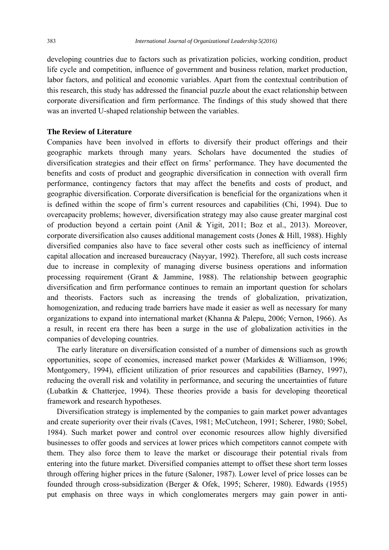developing countries due to factors such as privatization policies, working condition, product life cycle and competition, influence of government and business relation, market production, labor factors, and political and economic variables. Apart from the contextual contribution of this research, this study has addressed the financial puzzle about the exact relationship between corporate diversification and firm performance. The findings of this study showed that there was an inverted U-shaped relationship between the variables.

### **The Review of Literature**

Companies have been involved in efforts to diversify their product offerings and their geographic markets through many years. Scholars have documented the studies of diversification strategies and their effect on firms' performance. They have documented the benefits and costs of product and geographic diversification in connection with overall firm performance, contingency factors that may affect the benefits and costs of product, and geographic diversification. Corporate diversification is beneficial for the organizations when it is defined within the scope of firm's current resources and capabilities (Chi, 1994). Due to overcapacity problems; however, diversification strategy may also cause greater marginal cost of production beyond a certain point (Anil & Yigit, 2011; Boz et al., 2013). Moreover, corporate diversification also causes additional management costs (Jones & Hill, 1988). Highly diversified companies also have to face several other costs such as inefficiency of internal capital allocation and increased bureaucracy (Nayyar, 1992). Therefore, all such costs increase due to increase in complexity of managing diverse business operations and information processing requirement (Grant & Jammine, 1988). The relationship between geographic diversification and firm performance continues to remain an important question for scholars and theorists. Factors such as increasing the trends of globalization, privatization, homogenization, and reducing trade barriers have made it easier as well as necessary for many organizations to expand into international market (Khanna & Palepu, 2006; Vernon, 1966). As a result, in recent era there has been a surge in the use of globalization activities in the companies of developing countries.

 The early literature on diversification consisted of a number of dimensions such as growth opportunities, scope of economies, increased market power (Markides & Williamson, 1996; Montgomery, 1994), efficient utilization of prior resources and capabilities (Barney, 1997), reducing the overall risk and volatility in performance, and securing the uncertainties of future (Lubatkin & Chatterjee, 1994). These theories provide a basis for developing theoretical framework and research hypotheses.

 Diversification strategy is implemented by the companies to gain market power advantages and create superiority over their rivals (Caves, 1981; McCutcheon, 1991; Scherer, 1980; Sobel, 1984). Such market power and control over economic resources allow highly diversified businesses to offer goods and services at lower prices which competitors cannot compete with them. They also force them to leave the market or discourage their potential rivals from entering into the future market. Diversified companies attempt to offset these short term losses through offering higher prices in the future (Saloner, 1987). Lower level of price losses can be founded through cross-subsidization (Berger & Ofek, 1995; Scherer, 1980). Edwards (1955) put emphasis on three ways in which conglomerates mergers may gain power in anti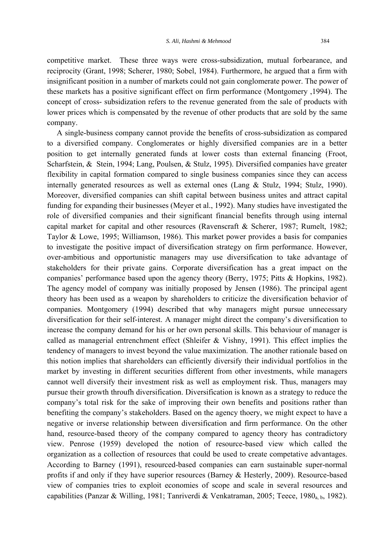competitive market. These three ways were cross-subsidization, mutual forbearance, and reciprocity (Grant, 1998; Scherer, 1980; Sobel, 1984). Furthermore, he argued that a firm with insignificant position in a number of markets could not gain conglomerate power. The power of these markets has a positive significant effect on firm performance (Montgomery ,1994). The concept of cross- subsidization refers to the revenue generated from the sale of products with lower prices which is compensated by the revenue of other products that are sold by the same company.

 A single-business company cannot provide the benefits of cross-subsidization as compared to a diversified company. Conglomerates or highly diversified companies are in a better position to get internally generated funds at lower costs than external financing (Froot, Scharfstein, & Stein, 1994; Lang, Poulsen, & Stulz, 1995). Diversified companies have greater flexibility in capital formation compared to single business companies since they can access internally generated resources as well as external ones (Lang & Stulz, 1994; Stulz, 1990). Moreover, diversified companies can shift capital between business unites and attract capital funding for expanding their businesses (Meyer et al., 1992). Many studies have investigated the role of diversified companies and their significant financial benefits through using internal capital market for capital and other resources (Ravenscraft & Scherer, 1987; Rumelt, 1982; Taylor & Lowe, 1995; Williamson, 1986). This market power provides a basis for companies to investigate the positive impact of diversification strategy on firm performance. However, over-ambitious and opportunistic managers may use diversification to take advantage of stakeholders for their private gains. Corporate diversification has a great impact on the companies' performance based upon the agency theory (Berry, 1975; Pitts & Hopkins, 1982). The agency model of company was initially proposed by Jensen (1986). The principal agent theory has been used as a weapon by shareholders to criticize the diversification behavior of companies. Montgomery (1994) described that why managers might pursue unnecessary diversification for their self-interest. A manager might direct the company's diversification to increase the company demand for his or her own personal skills. This behaviour of manager is called as managerial entrenchment effect (Shleifer & Vishny, 1991). This effect implies the tendency of managers to invest beyond the value maximization. The another rationale based on this notion implies that shareholders can efficiently diversify their individual portfolios in the market by investing in different securities different from other investments, while managers cannot well diversify their investment risk as well as employment risk. Thus, managers may pursue their growth throufh diversification. Diversification is known as a strategy to reduce the company's total risk for the sake of improving their own benefits and positions rather than benefiting the company's stakeholders. Based on the agency thoery, we might expect to have a negative or inverse relationship between diversification and firm performance. On the other hand, resource-based theory of the company compared to agency theory has contradictory view. Penrose (1959) developed the notion of resource-based view which called the organization as a collection of resources that could be used to create competative advantages. According to Barney (1991), resourced-based companies can earn sustainable super-normal profits if and only if they have superior resources (Barney & Hesterly, 2009). Resource-based view of companies tries to exploit economies of scope and scale in several resources and capabilities (Panzar & Willing, 1981; Tanriverdi & Venkatraman, 2005; Teece, 1980<sub>a, b</sub>, 1982).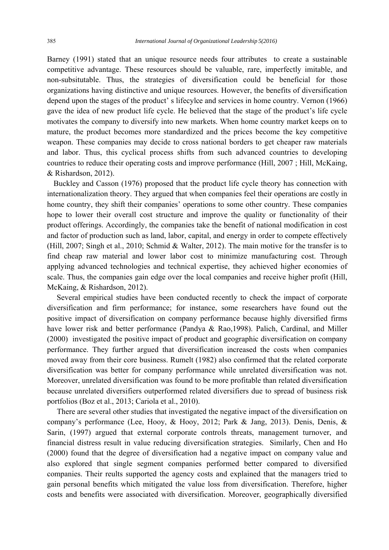Barney (1991) stated that an unique resource needs four attributes to create a sustainable competitive advantage. These resources should be valuable, rare, imperfectly imitable, and non-subsitutable. Thus, the strategies of diversification could be beneficial for those organizations having distinctive and unique resources. However, the benefits of diversification depend upon the stages of the product' s lifecylce and services in home country. Vernon (1966) gave the idea of new product life cycle. He believed that the stage of the product's life cycle motivates the company to diversify into new markets. When home country market keeps on to mature, the product becomes more standardized and the prices become the key competitive weapon. These companies may decide to cross national borders to get cheaper raw materials and labor. Thus, this cyclical process shifts from such advanced countries to developing countries to reduce their operating costs and improve performance (Hill, 2007 ; Hill, McKaing, & Rishardson, 2012).

 Buckley and Casson (1976) proposed that the product life cycle theory has connection with internationalization theory. They argued that when companies feel their operations are costly in home country, they shift their companies' operations to some other country. These companies hope to lower their overall cost structure and improve the quality or functionality of their product offerings. Accordingly, the companies take the benefit of national modification in cost and factor of production such as land, labor, capital, and energy in order to compete effectively (Hill, 2007; Singh et al., 2010; Schmid & Walter, 2012). The main motive for the transfer is to find cheap raw material and lower labor cost to minimize manufacturing cost. Through applying advanced technologies and technical expertise, they achieved higher economies of scale. Thus, the companies gain edge over the local companies and receive higher profit (Hill, McKaing, & Rishardson, 2012).

 Several empirical studies have been conducted recently to check the impact of corporate diversification and firm performance; for instance, some researchers have found out the positive impact of diversification on company performance because highly diversified firms have lower risk and better performance (Pandya & Rao,1998). Palich, Cardinal, and Miller (2000) investigated the positive impact of product and geographic diversification on company performance. They further argued that diversification increased the costs when companies moved away from their core business. Rumelt (1982) also confirmed that the related corporate diversification was better for company performance while unrelated diversification was not. Moreover, unrelated diversification was found to be more profitable than related diversification because unrelated diversifiers outperformed related diversifiers due to spread of business risk portfolios (Boz et al., 2013; Cariola et al., 2010).

 There are several other studies that investigated the negative impact of the diversification on company's performance (Lee, Hooy, & Hooy, 2012; Park & Jang, 2013). Denis, Denis, & Sarin, (1997) argued that external corporate controls threats, management turnover, and financial distress result in value reducing diversification strategies. Similarly, Chen and Ho (2000) found that the degree of diversification had a negative impact on company value and also explored that single segment companies performed better compared to diversified companies. Their reults supported the agency costs and explained that the managers tried to gain personal benefits which mitigated the value loss from diversification. Therefore, higher costs and benefits were associated with diversification. Moreover, geographically diversified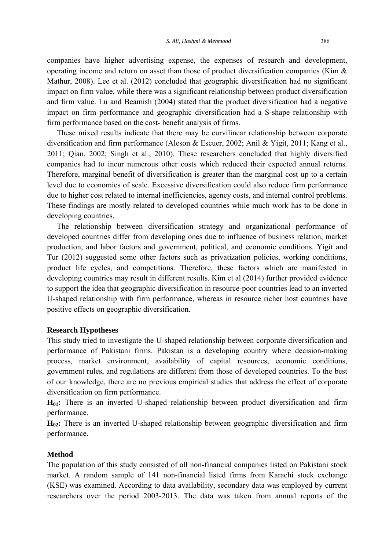companies have higher advertising expense, the expenses of research and development, operating income and return on asset than those of product diversification companies (Kim & Mathur, 2008). Lee et al. (2012) concluded that geographic diversification had no significant impact on firm value, while there was a significant relationship between product diversification and firm value. Lu and Beamish (2004) stated that the product diversification had a negative impact on firm performance and geographic diversification had a S-shape relationship with firm performance based on the cost- benefit analysis of firms.

 These mixed results indicate that there may be curvilinear relationship between corporate diversification and firm performance (Aleson & Escuer, 2002; Anil & Yigit, 2011; Kang et al., 2011; Qian, 2002; Singh et al., 2010). These researchers concluded that highly diversified companies had to incur numerous other costs which reduced their expected annual returns. Therefore, marginal benefit of diversification is greater than the marginal cost up to a certain level due to economies of scale. Excessive diversification could also reduce firm performance due to higher cost related to internal inefficiencies, agency costs, and internal control problems. These findings are mostly related to developed countries while much work has to be done in developing countries.

 The relationship between diversification strategy and organizational performance of developed countries differ from developing ones due to influence of business relation, market production, and labor factors and government, political, and economic conditions. Yigit and Tur (2012) suggested some other factors such as privatization policies, working conditions, product life cycles, and competitions. Therefore, these factors which are manifested in developing countries may result in different results. Kim et al (2014) further provided evidence to support the idea that geographic diversification in resource-poor countries lead to an inverted U-shaped relationship with firm performance, whereas in resource richer host countries have positive effects on geographic diversification.

#### **Research Hypotheses**

This study tried to investigate the U-shaped relationship between corporate diversification and performance of Pakistani firms. Pakistan is a developing country where decision-making process, market environment, availability of capital resources, economic conditions, government rules, and regulations are different from those of developed countries. To the best of our knowledge, there are no previous empirical studies that address the effect of corporate diversification on firm performance.

**H01:** There is an inverted U-shaped relationship between product diversification and firm performance.

**H02:** There is an inverted U-shaped relationship between geographic diversification and firm performance.

#### **Method**

The population of this study consisted of all non-financial companies listed on Pakistani stock market. A random sample of 141 non-financial listed firms from Karachi stock exchange (KSE) was examined. According to data availability, secondary data was employed by current researchers over the period 2003-2013. The data was taken from annual reports of the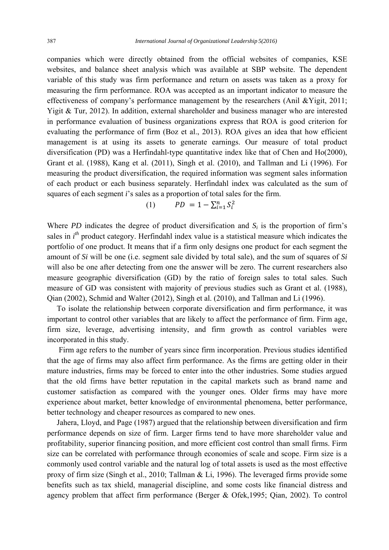companies which were directly obtained from the official websites of companies, KSE websites, and balance sheet analysis which was available at SBP website. The dependent variable of this study was firm performance and return on assets was taken as a proxy for measuring the firm performance. ROA was accepted as an important indicator to measure the effectiveness of company's performance management by the researchers (Anil &Yigit, 2011; Yigit & Tur, 2012). In addition, external shareholder and business manager who are interested in performance evaluation of business organizations express that ROA is good criterion for evaluating the performance of firm (Boz et al., 2013). ROA gives an idea that how efficient management is at using its assets to generate earnings. Our measure of total product diversification (PD) was a Herfindahl-type quantitative index like that of Chen and Ho(2000), Grant et al. (1988), Kang et al. (2011), Singh et al. (2010), and Tallman and Li (1996). For measuring the product diversification, the required information was segment sales information of each product or each business separately. Herfindahl index was calculated as the sum of squares of each segment *i*'s sales as a proportion of total sales for the firm.

(1) 
$$
PD = 1 - \sum_{i=1}^{n} S_i^2
$$

Where *PD* indicates the degree of product diversification and  $S_i$  is the proportion of firm's sales in *i*<sup>th</sup> product category. Herfindahl index value is a statistical measure which indicates the portfolio of one product. It means that if a firm only designs one product for each segment the amount of *Si* will be one (i.e. segment sale divided by total sale), and the sum of squares of *Si*  will also be one after detecting from one the answer will be zero. The current researchers also measure geographic diversification (GD) by the ratio of foreign sales to total sales. Such measure of GD was consistent with majority of previous studies such as Grant et al. (1988), Qian (2002), Schmid and Walter (2012), Singh et al. (2010), and Tallman and Li (1996).

 To isolate the relationship between corporate diversification and firm performance, it was important to control other variables that are likely to affect the performance of firm. Firm age, firm size, leverage, advertising intensity, and firm growth as control variables were incorporated in this study.

 Firm age refers to the number of years since firm incorporation. Previous studies identified that the age of firms may also affect firm performance. As the firms are getting older in their mature industries, firms may be forced to enter into the other industries. Some studies argued that the old firms have better reputation in the capital markets such as brand name and customer satisfaction as compared with the younger ones. Older firms may have more experience about market, better knowledge of environmental phenomena, better performance, better technology and cheaper resources as compared to new ones.

 Jahera, Lloyd, and Page (1987) argued that the relationship between diversification and firm performance depends on size of firm. Larger firms tend to have more shareholder value and profitability, superior financing position, and more efficient cost control than small firms. Firm size can be correlated with performance through economies of scale and scope. Firm size is a commonly used control variable and the natural log of total assets is used as the most effective proxy of firm size (Singh et al., 2010; Tallman & Li, 1996). The leveraged firms provide some benefits such as tax shield, managerial discipline, and some costs like financial distress and agency problem that affect firm performance (Berger & Ofek,1995; Qian, 2002). To control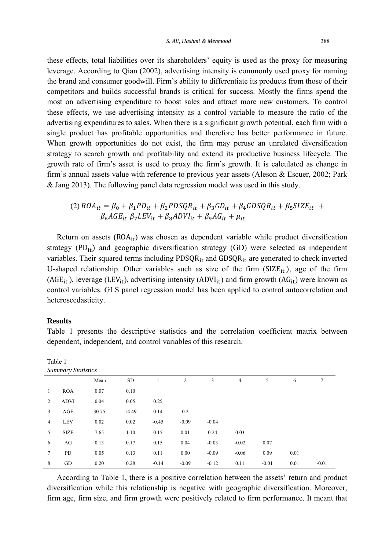these effects, total liabilities over its shareholders' equity is used as the proxy for measuring leverage. According to Qian (2002), advertising intensity is commonly used proxy for naming the brand and consumer goodwill. Firm's ability to differentiate its products from those of their competitors and builds successful brands is critical for success. Mostly the firms spend the most on advertising expenditure to boost sales and attract more new customers. To control these effects, we use advertising intensity as a control variable to measure the ratio of the advertising expenditures to sales. When there is a significant growth potential, each firm with a single product has profitable opportunities and therefore has better performance in future. When growth opportunities do not exist, the firm may peruse an unrelated diversification strategy to search growth and profitability and extend its productive business lifecycle. The growth rate of firm's asset is used to proxy the firm's growth. It is calculated as change in firm's annual assets value with reference to previous year assets (Aleson & Escuer, 2002; Park & Jang 2013). The following panel data regression model was used in this study.

(2) 
$$
ROA_{it} = \beta_0 + \beta_1 PD_{it} + \beta_2 PDSQR_{it} + \beta_3 GD_{it} + \beta_4 GDSQR_{it} + \beta_5 SIZE_{it} + \beta_6 AGE_{it} \beta_7 LEV_{it} + \beta_8 ADVI_{it} + \beta_9 AG_{it} + \mu_{it}
$$

Return on assets  $(ROA_{it})$  was chosen as dependent variable while product diversification strategy  $(PD_{it})$  and geographic diversification strategy  $(GD)$  were selected as independent variables. Their squared terms including  $\text{PDSQR}_{it}$  and  $\text{GDSQR}_{it}$  are generated to check inverted U-shaped relationship. Other variables such as size of the firm  $(SIZE_{it})$ , age of the firm  $(AGE_{it})$ , leverage (LEV<sub>it</sub>), advertising intensity (ADVI<sub>it</sub>) and firm growth (AG<sub>it</sub>) were known as control variables. GLS panel regression model has been applied to control autocorrelation and heteroscedasticity.

### **Results**

Table 1

*Summary Statistics*  Mean SD 1 2 3 4 5 6 7 1 ROA 0.07 0.10 2 ADVI 0.04 0.05 0.25 3 AGE 30.75 14.49 0.14 0.2 4 LEV 0.02 0.02 -0.45 -0.09 -0.04 5 SIZE 7.65 1.10 0.15 0.01 0.24 0.03 6 AG 0.13 0.17 0.15 0.04 -0.03 -0.02 0.07 7 PD 0.05 0.13 0.11 0.00 -0.09 -0.06 0.09 0.01 8 GD 0.20 0.28 -0.14 -0.09 -0.12 0.11 -0.01 0.01 -0.01

Table 1 presents the descriptive statistics and the correlation coefficient matrix between dependent, independent, and control variables of this research.

 According to Table 1, there is a positive correlation between the assets' return and product diversification while this relationship is negative with geographic diversification. Moreover, firm age, firm size, and firm growth were positively related to firm performance. It meant that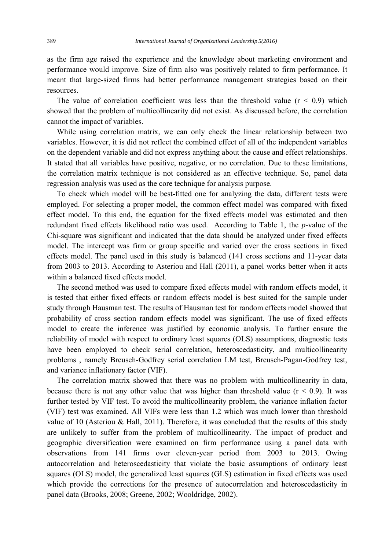as the firm age raised the experience and the knowledge about marketing environment and performance would improve. Size of firm also was positively related to firm performance. It meant that large-sized firms had better performance management strategies based on their resources.

The value of correlation coefficient was less than the threshold value  $(r < 0.9)$  which showed that the problem of multicollinearity did not exist. As discussed before, the correlation cannot the impact of variables.

 While using correlation matrix, we can only check the linear relationship between two variables. However, it is did not reflect the combined effect of all of the independent variables on the dependent variable and did not express anything about the cause and effect relationships. It stated that all variables have positive, negative, or no correlation. Due to these limitations, the correlation matrix technique is not considered as an effective technique. So, panel data regression analysis was used as the core technique for analysis purpose.

 To check which model will be best-fitted one for analyzing the data, different tests were employed. For selecting a proper model, the common effect model was compared with fixed effect model. To this end, the equation for the fixed effects model was estimated and then redundant fixed effects likelihood ratio was used. According to Table 1, the *p*-value of the Chi-square was significant and indicated that the data should be analyzed under fixed effects model. The intercept was firm or group specific and varied over the cross sections in fixed effects model. The panel used in this study is balanced (141 cross sections and 11-year data from 2003 to 2013. According to Asteriou and Hall (2011), a panel works better when it acts within a balanced fixed effects model.

 The second method was used to compare fixed effects model with random effects model, it is tested that either fixed effects or random effects model is best suited for the sample under study through Hausman test. The results of Hausman test for random effects model showed that probability of cross section random effects model was significant. The use of fixed effects model to create the inference was justified by economic analysis. To further ensure the reliability of model with respect to ordinary least squares (OLS) assumptions, diagnostic tests have been employed to check serial correlation, heteroscedasticity, and multicollinearity problems , namely Breusch-Godfrey serial correlation LM test, Breusch-Pagan-Godfrey test, and variance inflationary factor (VIF).

 The correlation matrix showed that there was no problem with multicollinearity in data, because there is not any other value that was higher than threshold value  $(r < 0.9)$ . It was further tested by VIF test. To avoid the multicollinearity problem, the variance inflation factor (VIF) test was examined. All VIFs were less than 1.2 which was much lower than threshold value of 10 (Asteriou & Hall, 2011). Therefore, it was concluded that the results of this study are unlikely to suffer from the problem of multicollinearity. The impact of product and geographic diversification were examined on firm performance using a panel data with observations from 141 firms over eleven-year period from 2003 to 2013. Owing autocorrelation and heteroscedasticity that violate the basic assumptions of ordinary least squares (OLS) model, the generalized least squares (GLS) estimation in fixed effects was used which provide the corrections for the presence of autocorrelation and heteroscedasticity in panel data (Brooks, 2008; Greene, 2002; Wooldridge, 2002).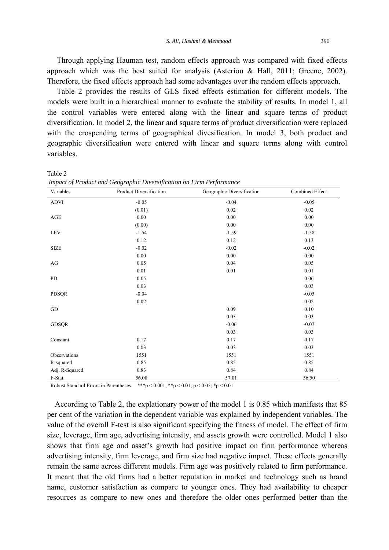Through applying Hauman test, random effects approach was compared with fixed effects approach which was the best suited for analysis (Asteriou & Hall, 2011; Greene, 2002). Therefore, the fixed effects approach had some advantages over the random effects approach.

 Table 2 provides the results of GLS fixed effects estimation for different models. The models were built in a hierarchical manner to evaluate the stability of results. In model 1, all the control variables were entered along with the linear and square terms of product diversification. In model 2, the linear and square terms of product diversification were replaced with the crospending terms of geographical divesification. In model 3, both product and geographic diversification were entered with linear and square terms along with control variables.

| Variables      | Product Diversification | Geographic Diversification | Combined Effect |
|----------------|-------------------------|----------------------------|-----------------|
| <b>ADVI</b>    | $-0.05$                 | $-0.04$                    | $-0.05$         |
|                | (0.01)                  | $0.02\,$                   | 0.02            |
| AGE            | 0.00                    | $0.00\,$                   | 0.00            |
|                | (0.00)                  | 0.00                       | 0.00            |
| <b>LEV</b>     | $-1.54$                 | $-1.59$                    | $-1.58$         |
|                | 0.12                    | 0.12                       | 0.13            |
| <b>SIZE</b>    | $-0.02$                 | $-0.02$                    | $-0.02$         |
|                | $0.00\,$                | $0.00\,$                   | 0.00            |
| $\rm{AG}$      | 0.05                    | 0.04                       | 0.05            |
|                | 0.01                    | 0.01                       | 0.01            |
| PD             | 0.05                    |                            | 0.06            |
|                | 0.03                    |                            | 0.03            |
| PDSQR          | $-0.04$                 |                            | $-0.05$         |
|                | $0.02\,$                |                            | 0.02            |
| GD             |                         | 0.09                       | 0.10            |
|                |                         | 0.03                       | 0.03            |
| <b>GDSQR</b>   |                         | $-0.06$                    | $-0.07$         |
|                |                         | 0.03                       | 0.03            |
| Constant       | 0.17                    | 0.17                       | 0.17            |
|                | 0.03                    | 0.03                       | 0.03            |
| Observations   | 1551                    | 1551                       | 1551            |
| R-squared      | 0.85                    | 0.85                       | 0.85            |
| Adj. R-Squared | 0.83                    | 0.84                       | 0.84            |
| F-Stat         | 56.08                   | 57.01                      | 56.50           |

Table 2  *Impact of Product and Geographic Diversification on Firm Performance* 

Robust Standard Errors in Parentheses \*\*\*p < 0.001; \*\*p < 0.01; p < 0.05; \*p < 0.01

 According to Table 2, the explationary power of the model 1 is 0.85 which manifests that 85 per cent of the variation in the dependent variable was explained by independent variables. The value of the overall F-test is also significant specifying the fitness of model. The effect of firm size, leverage, firm age, advertising intensity, and assets growth were controlled. Model 1 also shows that firm age and asset's growth had positive impact on firm performance whereas advertising intensity, firm leverage, and firm size had negative impact. These effects generally remain the same across different models. Firm age was positively related to firm performance. It meant that the old firms had a better reputation in market and technology such as brand name, customer satisfaction as compare to younger ones. They had availability to cheaper resources as compare to new ones and therefore the older ones performed better than the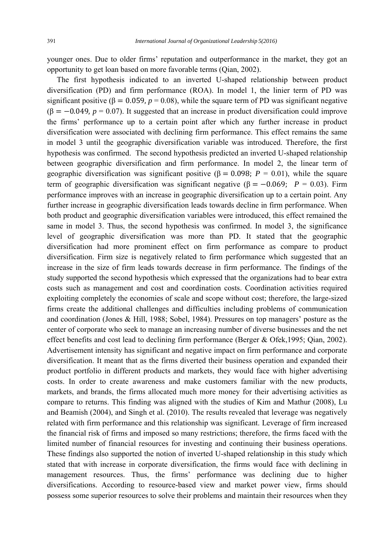younger ones. Due to older firms' reputation and outperformance in the market, they got an opportunity to get loan based on more favorable terms (Qian, 2002).

 The first hypothesis indicated to an inverted U-shaped relationship between product diversification (PD) and firm performance (ROA). In model 1, the linier term of PD was significant positive ( $\beta = 0.059$ ,  $p = 0.08$ ), while the square term of PD was significant negative  $(\beta = -0.049, p = 0.07)$ . It suggested that an increase in product diversification could improve the firms' performance up to a certain point after which any further increase in product diversification were associated with declining firm performance. This effect remains the same in model 3 until the geographic diversification variable was introduced. Therefore, the first hypothesis was confirmed. The second hypothesis predicted an inverted U-shaped relationship between geographic diversification and firm performance. In model 2, the linear term of geographic diversification was significant positive ( $\beta = 0.098$ ;  $P = 0.01$ ), while the square term of geographic diversification was significant negative ( $\beta = -0.069$ ; *P* = 0.03). Firm performance improves with an increase in geographic diversification up to a certain point. Any further increase in geographic diversification leads towards decline in firm performance. When both product and geographic diversification variables were introduced, this effect remained the same in model 3. Thus, the second hypothesis was confirmed. In model 3, the significance level of geographic diversification was more than PD. It stated that the geographic diversification had more prominent effect on firm performance as compare to product diversification. Firm size is negatively related to firm performance which suggested that an increase in the size of firm leads towards decrease in firm performance. The findings of the study supported the second hypothesis which expressed that the organizations had to bear extra costs such as management and cost and coordination costs. Coordination activities required exploiting completely the economies of scale and scope without cost; therefore, the large-sized firms create the additional challenges and difficulties including problems of communication and coordination (Jones & Hill, 1988; Sobel, 1984). Pressures on top managers' posture as the center of corporate who seek to manage an increasing number of diverse businesses and the net effect benefits and cost lead to declining firm performance (Berger & Ofek,1995; Qian, 2002). Advertisement intensity has significant and negative impact on firm performance and corporate diversification. It meant that as the firms diverted their business operation and expanded their product portfolio in different products and markets, they would face with higher advertising costs. In order to create awareness and make customers familiar with the new products, markets, and brands, the firms allocated much more money for their advertising activities as compare to returns. This finding was aligned with the studies of Kim and Mathur (2008), Lu and Beamish (2004), and Singh et al. (2010). The results revealed that leverage was negatively related with firm performance and this relationship was significant. Leverage of firm increased the financial risk of firms and imposed so many restrictions; therefore, the firms faced with the limited number of financial resources for investing and continuing their business operations. These findings also supported the notion of inverted U-shaped relationship in this study which stated that with increase in corporate diversification, the firms would face with declining in management resources. Thus, the firms' performance was declining due to higher diversifications. According to resource-based view and market power view, firms should possess some superior resources to solve their problems and maintain their resources when they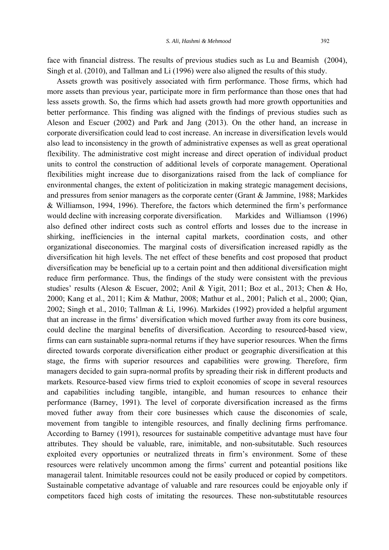face with financial distress. The results of previous studies such as Lu and Beamish (2004), Singh et al. (2010), and Tallman and Li (1996) were also aligned the results of this study.

 Assets growth was positively associated with firm performance. Those firms, which had more assets than previous year, participate more in firm performance than those ones that had less assets growth. So, the firms which had assets growth had more growth opportunities and better performance. This finding was aligned with the findings of previous studies such as Aleson and Escuer (2002) and Park and Jang (2013). On the other hand, an increase in corporate diversification could lead to cost increase. An increase in diversification levels would also lead to inconsistency in the growth of administrative expenses as well as great operational flexibility. The administrative cost might increase and direct operation of individual product units to control the construction of additional levels of corporate management. Operational flexibilities might increase due to disorganizations raised from the lack of compliance for environmental changes, the extent of politicization in making strategic management decisions, and pressures from senior managers as the corporate center (Grant & Jammine, 1988; Markides & Williamson, 1994, 1996). Therefore, the factors which determined the firm's performance would decline with increasing corporate diversification. Markides and Williamson (1996) also defined other indirect costs such as control efforts and losses due to the increase in shirking, inefficiencies in the internal capital markets, coordination costs, and other organizational diseconomies. The marginal costs of diversification increased rapidly as the diversification hit high levels. The net effect of these benefits and cost proposed that product diversification may be beneficial up to a certain point and then additional diversification might reduce firm performance. Thus, the findings of the study were consistent with the previous studies' results (Aleson & Escuer, 2002; Anil & Yigit, 2011; Boz et al., 2013; Chen & Ho, 2000; Kang et al., 2011; Kim & Mathur, 2008; Mathur et al., 2001; Palich et al., 2000; Qian, 2002; Singh et al., 2010; Tallman & Li, 1996). Markides (1992) provided a helpful argument that an increase in the firms' diversification which moved further away from its core business, could decline the marginal benefits of diversification. According to resourced-based view, firms can earn sustainable supra-normal returns if they have superior resources. When the firms directed towards corporate diversification either product or geographic diversification at this stage, the firms with superior resources and capabilities were growing. Therefore, firm managers decided to gain supra-normal profits by spreading their risk in different products and markets. Resource-based view firms tried to exploit economies of scope in several resources and capabilities including tangible, intangible, and human resources to enhance their performance (Barney, 1991). The level of corporate diversification increased as the firms moved futher away from their core businesses which cause the disconomies of scale, movement from tangible to intengible resources, and finally declining firms perfromance. According to Barney (1991), resources for sustainable competitive advantage must have four attributes. They should be valuable, rare, inimitable, and non-subsitutable. Such resources exploited every opportunies or neutralized threats in firm's environment. Some of these resources were relatively uncommon among the firms' current and poteantial positions like managerail talent. Inimitable resources could not be easily produced or copied by competitors. Sustainable competative advantage of valuable and rare resources could be enjoyable only if competitors faced high costs of imitating the resources. These non-substitutable resources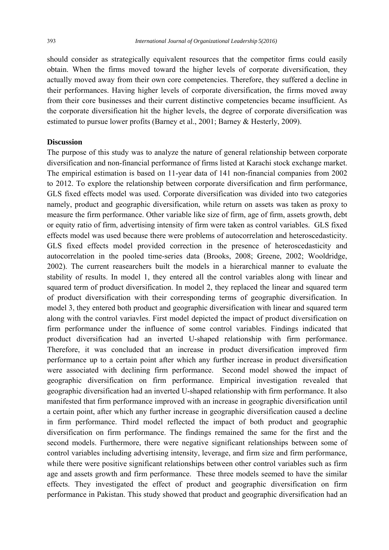should consider as strategically equivalent resources that the competitor firms could easily obtain. When the firms moved toward the higher levels of corporate diversification, they actually moved away from their own core competencies. Therefore, they suffered a decline in their performances. Having higher levels of corporate diversification, the firms moved away from their core businesses and their current distinctive competencies became insufficient. As the corporate diversification hit the higher levels, the degree of corporate diversification was estimated to pursue lower profits (Barney et al., 2001; Barney & Hesterly, 2009).

## **Discussion**

The purpose of this study was to analyze the nature of general relationship between corporate diversification and non-financial performance of firms listed at Karachi stock exchange market. The empirical estimation is based on 11-year data of 141 non-financial companies from 2002 to 2012. To explore the relationship between corporate diversification and firm performance, GLS fixed effects model was used. Corporate diversification was divided into two categories namely, product and geographic diversification, while return on assets was taken as proxy to measure the firm performance. Other variable like size of firm, age of firm, assets growth, debt or equity ratio of firm, advertising intensity of firm were taken as control variables. GLS fixed effects model was used because there were problems of autocorrelation and heteroscedasticity. GLS fixed effects model provided correction in the presence of heteroscedasticity and autocorrelation in the pooled time-series data (Brooks, 2008; Greene, 2002; Wooldridge, 2002). The current reasearchers built the models in a hierarchical manner to evaluate the stability of results. In model 1, they entered all the control variables along with linear and squared term of product diversification. In model 2, they replaced the linear and squared term of product diversification with their corresponding terms of geographic diversification. In model 3, they entered both product and geographic diversification with linear and squared term along with the control variavles. First model depicted the impact of product diversification on firm performance under the influence of some control variables. Findings indicated that product diversification had an inverted U-shaped relationship with firm performance. Therefore, it was concluded that an increase in product diversification improved firm performance up to a certain point after which any further increase in product diversification were associated with declining firm performance. Second model showed the impact of geographic diversification on firm performance. Empirical investigation revealed that geographic diversification had an inverted U-shaped relationship with firm performance. It also manifested that firm performance improved with an increase in geographic diversification until a certain point, after which any further increase in geographic diversification caused a decline in firm performance. Third model reflected the impact of both product and geographic diversification on firm performance. The findings remained the same for the first and the second models. Furthermore, there were negative significant relationships between some of control variables including advertising intensity, leverage, and firm size and firm performance, while there were positive significant relationships between other control variables such as firm age and assets growth and firm performance. These three models seemed to have the similar effects. They investigated the effect of product and geographic diversification on firm performance in Pakistan. This study showed that product and geographic diversification had an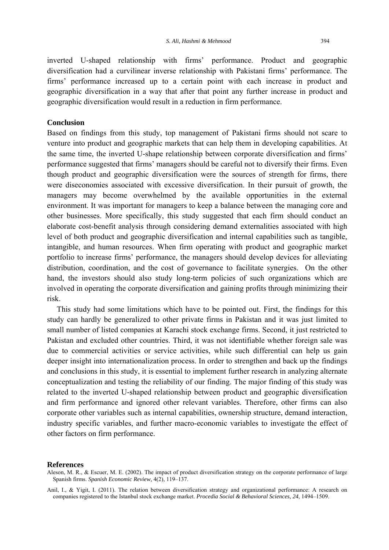inverted U-shaped relationship with firms' performance. Product and geographic diversification had a curvilinear inverse relationship with Pakistani firms' performance. The firms' performance increased up to a certain point with each increase in product and geographic diversification in a way that after that point any further increase in product and geographic diversification would result in a reduction in firm performance.

#### **Conclusion**

Based on findings from this study, top management of Pakistani firms should not scare to venture into product and geographic markets that can help them in developing capabilities. At the same time, the inverted U-shape relationship between corporate diversification and firms' performance suggested that firms' managers should be careful not to diversify their firms. Even though product and geographic diversification were the sources of strength for firms, there were diseconomies associated with excessive diversification. In their pursuit of growth, the managers may become overwhelmed by the available opportunities in the external environment. It was important for managers to keep a balance between the managing core and other businesses. More specifically, this study suggested that each firm should conduct an elaborate cost-benefit analysis through considering demand externalities associated with high level of both product and geographic diversification and internal capabilities such as tangible, intangible, and human resources. When firm operating with product and geographic market portfolio to increase firms' performance, the managers should develop devices for alleviating distribution, coordination, and the cost of governance to facilitate synergies. On the other hand, the investors should also study long-term policies of such organizations which are involved in operating the corporate diversification and gaining profits through minimizing their risk.

 This study had some limitations which have to be pointed out. First, the findings for this study can hardly be generalized to other private firms in Pakistan and it was just limited to small number of listed companies at Karachi stock exchange firms. Second, it just restricted to Pakistan and excluded other countries. Third, it was not identifiable whether foreign sale was due to commercial activities or service activities, while such differential can help us gain deeper insight into internationalization process. In order to strengthen and back up the findings and conclusions in this study, it is essential to implement further research in analyzing alternate conceptualization and testing the reliability of our finding. The major finding of this study was related to the inverted U-shaped relationship between product and geographic diversification and firm performance and ignored other relevant variables. Therefore, other firms can also corporate other variables such as internal capabilities, ownership structure, demand interaction, industry specific variables, and further macro-economic variables to investigate the effect of other factors on firm performance.

#### **References**

Anil, I., & Yigit, I. (2011). The relation between diversification strategy and organizational performance: A research on companies registered to the Istanbul stock exchange market. *Procedia Social & Behavioral Sciences, 24*, 1494–1509.

Aleson, M. R., & Escuer, M. E. (2002). The impact of product diversification strategy on the corporate performance of large Spanish firms. *Spanish Economic Review,* 4(2), 119–137.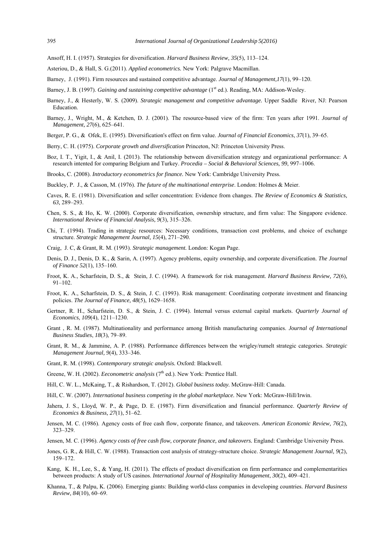Ansoff, H. I. (1957). Strategies for diversification. *Harvard Business Review, 35*(5), 113–124.

- Asteriou, D., & Hall, S. G.(2011). *Applied econometrics.* New York: Palgrave Macmillan.
- Barney, J. (1991). Firm resources and sustained competitive advantage. *Journal of Management,17*(1), 99–120.
- Barney, J. B. (1997). *Gaining and sustaining competitive advantage* (1st ed.). Reading, MA: Addison-Wesley.
- Barney, J., & Hesterly, W. S. (2009). *Strategic management and competitive advantage.* Upper Saddle River, NJ: Pearson Education.
- Barney, J., Wright, M., & Ketchen, D. J. (2001). The resource-based view of the firm: Ten years after 1991. *Journal of Management, 27*(6), 625–641.
- Berger, P. G., & Ofek, E. (1995). Diversification's effect on firm value. *Journal of Financial Economics*, *37*(1), 39–65.
- Berry, C. H. (1975). *Corporate growth and diversification* Princeton, NJ: Princeton University Press.
- Boz, I. T., Yigit, I., & Anil, I. (2013). The relationship between diversification strategy and organizational performance: A research intented for comparing Belgium and Turkey. *Procedia – Social & Behavioral Sciences, 99*, 997–1006.
- Brooks, C. (2008). *Introductory econometrics for finance.* New York: Cambridge University Press.
- Buckley, P. J., & Casson, M. (1976). *The future of the multinational enterprise*. London: Holmes & Meier.
- Caves, R. E. (1981). Diversification and seller concentration: Evidence from changes. *The Review of Economics & Statistics, 63,* 289–293.
- Chen, S. S., & Ho, K. W. (2000). Corporate diversification, ownership structure, and firm value: The Singapore evidence. *International Review of Financial Analysis, 9*(3), 315–326.
- Chi, T. (1994). Trading in strategic resources: Necessary conditions, transaction cost problems, and choice of exchange structure. *Strategic Management Journal, 15*(4), 271–290.
- Craig, J. C, & Grant, R. M. (1993). *Strategic management.* London: Kogan Page.
- Denis, D. J., Denis, D. K., & Sarin, A. (1997). Agency problems, equity ownership, and corporate diversification. *The Journal of Finance 52*(1), 135–160.
- Froot, K. A., Scharfstein, D. S., & Stein, J. C. (1994). A framework for risk management. *Harvard Business Review, 72*(6), 91–102.
- Froot, K. A., Scharfstein, D. S., & Stein, J. C. (1993). Risk management: Coordinating corporate investment and financing policies. *The Journal of Finance, 48*(5), 1629–1658.
- Gertner, R. H., Scharfstein, D. S., & Stein, J. C. (1994). Internal versus external capital markets. *Quarterly Journal of Economics*, *109*(4), 1211–1230.
- Grant , R. M. (1987). Multinationality and performance among British manufacturing companies. *Journal of International Business Studies*, *18*(3), 79–89.
- Grant, R. M., & Jammine, A. P. (1988). Performance differences between the wrigley/rumelt strategic categories. *Strategic Management Journal, 9*(4), 333–346.
- Grant, R. M. (1998). *Contemporary strategic analysis.* Oxford: Blackwell.
- Greene, W. H. (2002). *Eeconometric analysis* (7<sup>th</sup> ed.). New York: Prentice Hall.
- Hill, C. W. L., McKaing, T., & Rishardson, T. (2012). *Global business today.* McGraw-Hill: Canada.
- Hill, C. W. (2007). *International business competing in the global marketplace.* New York: McGraw-Hill/Irwin.
- Jahera, J. S., Lloyd, W. P., & Page, D. E. (1987). Firm diversification and financial performance. *Quarterly Review of Economics & Business, 27*(1), 51–62.
- Jensen, M. C. (1986). Agency costs of free cash flow, corporate finance, and takeovers. *American Economic Review, 76*(2), 323–329.
- Jensen, M. C. (1996). *Agency costs of free cash flow, corporate finance, and takeovers.* England: Cambridge University Press.
- Jones, G. R., & Hill, C. W. (1988). Transaction cost analysis of strategy-structure choice. *Strategic Management Journal, 9*(2), 159–172.
- Kang, K. H., Lee, S., & Yang, H. (2011). The effects of product diversification on firm performance and complementarities between products: A study of US casinos. *International Journal of Hospitality Management*, *30*(2), 409–421.
- Khanna, T., & Palpu, K. (2006). Emerging giants: Building world-class companies in developing countries. *Harvard Business Review, 84*(10), 60–69.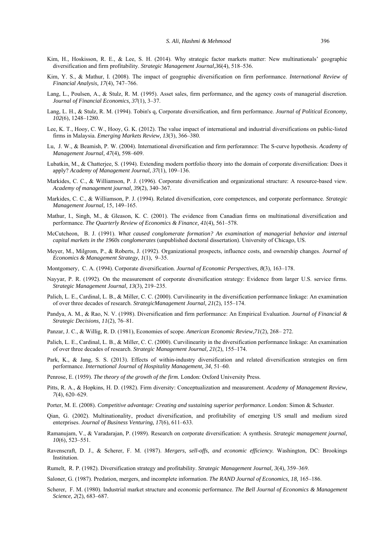- Kim, H., Hoskisson, R. E., & Lee, S. H. (2014). Why strategic factor markets matter: New multinationals' geographic diversification and firm profitability. *Strategic Management Journal,36*(4), 518–536.
- Kim, Y. S., & Mathur, I. (2008). The impact of geographic diversification on firm performance. *International Review of Financial Analysis, 17*(4), 747–766.
- Lang, L., Poulsen, A., & Stulz, R. M. (1995). Asset sales, firm performance, and the agency costs of managerial discretion. *Journal of Financial Economics, 37*(1), 3–37.
- Lang, L. H., & Stulz, R. M. (1994). Tobin's q, Corporate diversification, and firm performance. *Journal of Political Economy, 102*(6), 1248–1280.
- Lee, K. T., Hooy, C. W., Hooy, G. K. (2012). The value impact of international and industrial diversifications on public‐listed firms in Malaysia. *Emerging Markets Review, 13*(3), 366–380.
- Lu, J. W., & Beamish, P. W. (2004). International diversification and firm perforamnce: The S-curve hypothesis. *Academy of Management Journal, 47*(4)*,* 598–609.
- Lubatkin, M., & Chatterjee, S. (1994). Extending modern portfolio theory into the domain of corporate diversification: Does it apply? *Academy of Management Journal, 37*(1), 109–136.
- Markides, C. C., & Williamson, P. J. (1996). Corporate diversification and organizational structure: A resource-based view. *Academy of management journal, 39*(2), 340–367.
- Markides, C. C., & Williamson, P. J. (1994). Related diversification, core competences, and corporate performance. *Strategic Management Journal,* 15, 149–165.
- Mathur, I., Singh, M., & Gleason, K. C. (2001). The evidence from Canadian firms on multinational diversification and performance. *The Quarterly Review of Economics & Finance, 41*(4)*,* 561–578.
- McCutcheon, B. J. (1991). *What caused conglomerate formation? An examination of managerial behavior and internal capital markets in the 1960s conglomerates* (unpublished doctoral dissertation). University of Chicago, US.
- Meyer, M., Milgrom, P., & Roberts, J. (1992). Organizational prospects, influence costs, and ownership changes. *Journal of Economics & Management Strategy, 1*(1), 9–35.
- Montgomery, C. A. (1994). Corporate diversification. *Journal of Economic Perspectives, 8*(3), 163–178.
- Nayyar, P. R. (1992). On the measurement of corporate diversification strategy: Evidence from larger U.S. service firms. *Strategic Management Journal, 13*(3), 219–235.
- Palich, L. E., Cardinal, L. B., & Miller, C. C. (2000). Curvilinearity in the diversification performance linkage: An examination of over three decades of research. *StrategicManagement Journal, 21*(2), 155–174.
- Pandya, A. M., & Rao, N. V. (1998). Diversification and firm performance: An Empirical Evaluation. *Journal of Financial & Strategic Decisions, 11*(2), 76–81.
- Panzar, J. C., & Willig, R. D. (1981), Economies of scope. *American Economic Review,71*(2), 268– 272.
- Palich, L. E., Cardinal, L. B., & Miller, C. C. (2000). Curvilinearity in the diversification performance linkage: An examination of over three decades of research. *Strategic Management Journal, 21*(2), 155–174.
- Park, K., & Jang, S. S. (2013). Effects of within-industry diversification and related diversification strategies on firm performance. *International Journal of Hospitality Management, 34*, 51–60.
- Penrose, E. (1959). *The theory of the growth of the firm.* London: Oxford University Press.
- Pitts, R. A., & Hopkins, H. D. (1982). Firm diversity: Conceptualization and measurement. *Academy of Management Review, 7*(4), 620–629.
- Porter, M. E. (2008). *Competitive advantage: Creating and sustaining superior performance.* London: Simon & Schuster.
- Qian, G. (2002). Multinationality, product diversification, and profitability of emerging US small and medium sized enterprises. *Journal of Business Venturing, 17*(6), 611–633.
- Ramanujam, V., & Varadarajan, P. (1989). Research on corporate diversification: A synthesis. *Strategic management journal, 10*(6), 523–551.
- Ravenscraft, D. J., & Scherer, F. M. (1987). *Mergers, sell-offs, and economic efficiency.* Washington, DC: Brookings Institution.
- Rumelt, R. P. (1982). Diversification strategy and profitability. *Strategic Management Journal, 3*(4), 359–369.
- Saloner, G. (1987). Predation, mergers, and incomplete information. *The RAND Journal of Economics, 18,* 165–186.
- Scherer, F. M. (1980). Industrial market structure and economic performance. *The Bell Journal of Economics & Management Science, 2*(2), 683–687.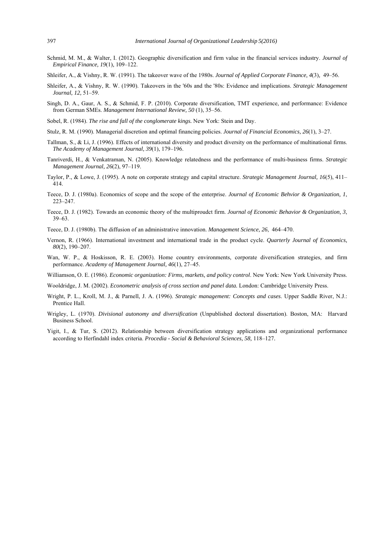- Schmid, M. M., & Walter, I. (2012). Geographic diversification and firm value in the financial services industry. *Journal of Empirical Finance, 19*(1)*,* 109–122.
- Shleifer, A., & Vishny, R. W. (1991). The takeover wave of the 1980s. *Journal of Applied Corporate Finance, 4*(3)*,* 49–56.
- Shleifer, A., & Vishny, R. W. (1990). Takeovers in the '60s and the '80s: Evidence and implications. *Strategic Management Journal, 12,* 51–59.
- Singh, D. A., Gaur, A. S., & Schmid, F. P. (2010). Corporate diversification, TMT experience, and performance: Evidence from German SMEs. *Management International Review, 50* (1), 35–56.
- Sobel, R. (1984). *The rise and fall of the conglomerate kings.* New York: Stein and Day.
- Stulz, R. M. (1990). Managerial discretion and optimal financing policies. *Journal of Financial Economics, 26*(1), 3–27.
- Tallman, S., & Li, J. (1996). Effects of international diversity and product diversity on the performance of multinational firms. *The Academy of Management Journal, 39*(1), 179–196.
- Tanriverdi, H., & Venkatraman, N. (2005). Knowledge relatedness and the performance of multi-business firms. *Strategic Management Journal, 26*(2), 97–119.
- Taylor, P., & Lowe, J. (1995). A note on corporate strategy and capital structure. *Strategic Management Journal, 16*(5), 411– 414.
- Teece, D. J. (1980a). Economics of scope and the scope of the enterprise. *Journal of Economic Behvior & Organization, 1*, 223–247.
- Teece, D. J. (1982). Towards an economic theory of the multiproudct firm. *Journal of Economic Behavior & Organization, 3*, 39–63.
- Teece, D. J. (1980b). The diffusion of an administrative innovation. *Management Science, 26*, 464–470.
- Vernon, R. (1966). International investment and international trade in the product cycle. *Quarterly Journal of Economics, 80*(2), 190–207.
- Wan, W. P., & Hoskisson, R. E. (2003). Home country environments, corporate diversification strategies, and firm performance. *Academy of Management Journal, 46*(1), 27–45.
- Williamson, O. E. (1986). *Economic organization: Firms, markets, and policy control*. New York: New York University Press.

Wooldridge, J. M. (2002). *Econometric analysis of cross section and panel data.* London: Cambridge University Press.

- Wright, P. L., Kroll, M. J., & Parnell, J. A. (1996). *Strategic management: Concepts and cases*. Upper Saddle River, N.J.: Prentice Hall.
- Wrigley, L. (1970). *Divisional autonomy and diversification* (Unpublished doctoral dissertation). Boston, MA: Harvard Business School.
- Yigit, I., & Tur, S. (2012). Relationship between diversification strategy applications and organizational performance according to Herfindahl index criteria. *Procedia - Social & Behavioral Sciences, 58,* 118–127.